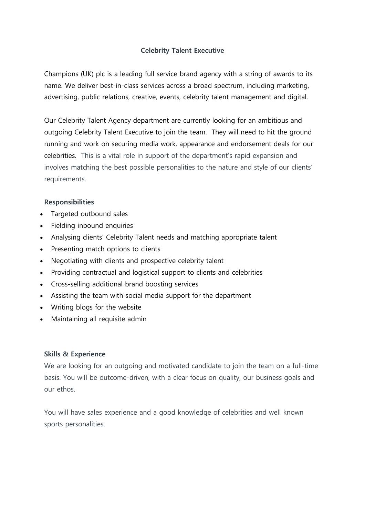## **Celebrity Talent Executive**

Champions (UK) plc is a leading full service brand agency with a string of awards to its name. We deliver best-in-class services across a broad spectrum, including marketing, advertising, public relations, creative, events, celebrity talent management and digital.

Our Celebrity Talent Agency department are currently looking for an ambitious and outgoing Celebrity Talent Executive to join the team. They will need to hit the ground running and work on securing media work, appearance and endorsement deals for our celebrities. This is a vital role in support of the department's rapid expansion and involves matching the best possible personalities to the nature and style of our clients' requirements.

## **Responsibilities**

- Targeted outbound sales
- Fielding inbound enquiries
- Analysing clients' Celebrity Talent needs and matching appropriate talent
- Presenting match options to clients
- Negotiating with clients and prospective celebrity talent
- Providing contractual and logistical support to clients and celebrities
- Cross-selling additional brand boosting services
- Assisting the team with social media support for the department
- Writing blogs for the website
- Maintaining all requisite admin

## **Skills & Experience**

We are looking for an outgoing and motivated candidate to join the team on a full-time basis. You will be outcome-driven, with a clear focus on quality, our business goals and our ethos.

You will have sales experience and a good knowledge of celebrities and well known sports personalities.